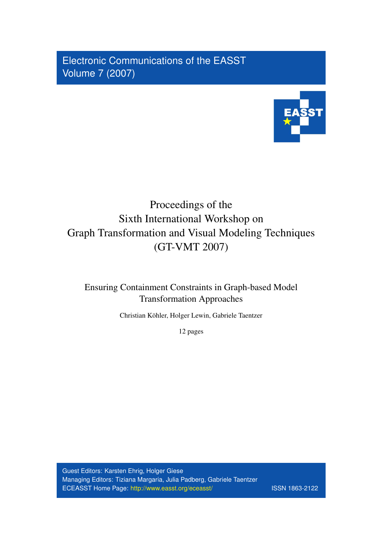Electronic Communications of the EASST Volume 7 (2007)



# Proceedings of the Sixth International Workshop on Graph Transformation and Visual Modeling Techniques (GT-VMT 2007)

Ensuring Containment Constraints in Graph-based Model Transformation Approaches

Christian Kohler, Holger Lewin, Gabriele Taentzer ¨

12 pages

Guest Editors: Karsten Ehrig, Holger Giese Managing Editors: Tiziana Margaria, Julia Padberg, Gabriele Taentzer ECEASST Home Page: <http://www.easst.org/eceasst/> ISSN 1863-2122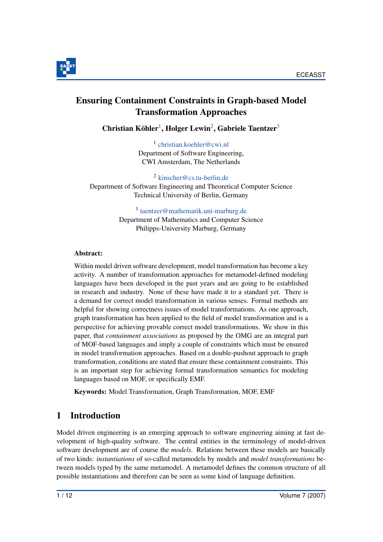



# <span id="page-1-0"></span>Ensuring Containment Constraints in Graph-based Model Transformation Approaches

 $\text{Christian Köhler}^1$  $\text{Christian Köhler}^1$ , Holger Lewin<sup>[2](#page-1-1)</sup>, Gabriele Taentzer<sup>[3](#page-1-2)</sup>

1 [christian.koehler@cwi.nl](mailto:christian.koehler@cwi.nl) Department of Software Engineering, CWI Amsterdam, The Netherlands

<span id="page-1-2"></span><span id="page-1-1"></span><sup>2</sup> [kinscher@cs.tu-berlin.de](mailto:kinscher@cs.tu-berlin.de) Department of Software Engineering and Theoretical Computer Science Technical University of Berlin, Germany

> 3 [taentzer@mathematik.uni-marburg.de](mailto:taentzer@mathematik.uni-marburg.de) Department of Mathematics and Computer Science Philipps-University Marburg, Germany

#### Abstract:

Within model driven software development, model transformation has become a key activity. A number of transformation approaches for metamodel-defined modeling languages have been developed in the past years and are going to be established in research and industry. None of these have made it to a standard yet. There is a demand for correct model transformation in various senses. Formal methods are helpful for showing correctness issues of model transformations. As one approach, graph transformation has been applied to the field of model transformation and is a perspective for achieving provable correct model transformations. We show in this paper, that *containment associations* as proposed by the OMG are an integral part of MOF-based languages and imply a couple of constraints which must be ensured in model transformation approaches. Based on a double-pushout approach to graph transformation, conditions are stated that ensure these containment constraints. This is an important step for achieving formal transformation semantics for modeling languages based on MOF, or specifically EMF.

Keywords: Model Transformation, Graph Transformation, MOF, EMF

## 1 Introduction

Model driven engineering is an emerging approach to software engineering aiming at fast development of high-quality software. The central entities in the terminology of model-driven software development are of course the *models*. Relations between these models are basically of two kinds: *instantiations* of so-called metamodels by models and *model transformations* between models typed by the same metamodel. A metamodel defines the common structure of all possible instantiations and therefore can be seen as some kind of language definition.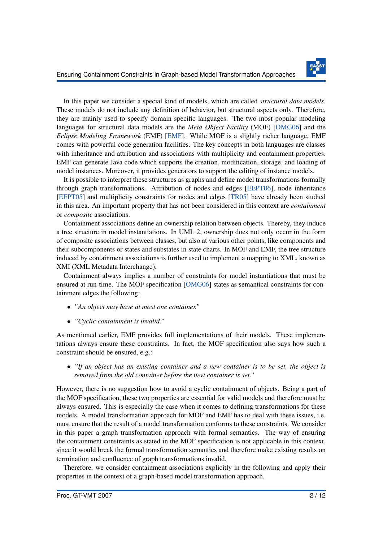

In this paper we consider a special kind of models, which are called *structural data models*. These models do not include any definition of behavior, but structural aspects only. Therefore, they are mainly used to specify domain specific languages. The two most popular modeling languages for structural data models are the *Meta Object Facility* (MOF) [\[OMG06\]](#page-12-0) and the *Eclipse Modeling Framework* (EMF) [\[EMF\]](#page-11-0). While MOF is a slightly richer language, EMF comes with powerful code generation facilities. The key concepts in both languages are classes with inheritance and attribution and associations with multiplicity and containment properties. EMF can generate Java code which supports the creation, modification, storage, and loading of model instances. Moreover, it provides generators to support the editing of instance models.

It is possible to interpret these structures as graphs and define model transformations formally through graph transformations. Attribution of nodes and edges [\[EEPT06\]](#page-11-1), node inheritance [\[EEPT05\]](#page-11-2) and multiplicity constraints for nodes and edges [\[TR05\]](#page-12-1) have already been studied in this area. An important property that has not been considered in this context are *containment* or *composite* associations.

Containment associations define an ownership relation between objects. Thereby, they induce a tree structure in model instantiations. In UML 2, ownership does not only occur in the form of composite associations between classes, but also at various other points, like components and their subcomponents or states and substates in state charts. In MOF and EMF, the tree structure induced by containment associations is further used to implement a mapping to XML, known as XMI (XML Metadata Interchange).

Containment always implies a number of constraints for model instantiations that must be ensured at run-time. The MOF specification [\[OMG06\]](#page-12-0) states as semantical constraints for containment edges the following:

- *"An object may have at most one container."*
- *"Cyclic containment is invalid."*

As mentioned earlier, EMF provides full implementations of their models. These implementations always ensure these constraints. In fact, the MOF specification also says how such a constraint should be ensured, e.g.:

• *"If an object has an existing container and a new container is to be set, the object is removed from the old container before the new container is set."*

However, there is no suggestion how to avoid a cyclic containment of objects. Being a part of the MOF specification, these two properties are essential for valid models and therefore must be always ensured. This is especially the case when it comes to defining transformations for these models. A model transformation approach for MOF and EMF has to deal with these issues, i.e. must ensure that the result of a model transformation conforms to these constraints. We consider in this paper a graph transformation approach with formal semantics. The way of ensuring the containment constraints as stated in the MOF specification is not applicable in this context, since it would break the formal transformation semantics and therefore make existing results on termination and confluence of graph transformations invalid.

Therefore, we consider containment associations explicitly in the following and apply their properties in the context of a graph-based model transformation approach.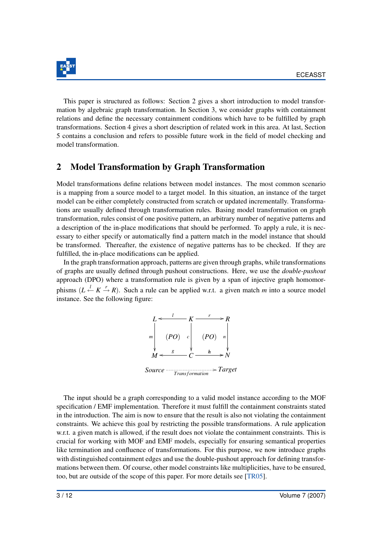

This paper is structured as follows: Section 2 gives a short introduction to model transformation by algebraic graph transformation. In Section 3, we consider graphs with containment relations and define the necessary containment conditions which have to be fulfilled by graph transformations. Section 4 gives a short description of related work in this area. At last, Section 5 contains a conclusion and refers to possible future work in the field of model checking and model transformation.

#### 2 Model Transformation by Graph Transformation

Model transformations define relations between model instances. The most common scenario is a mapping from a source model to a target model. In this situation, an instance of the target model can be either completely constructed from scratch or updated incrementally. Transformations are usually defined through transformation rules. Basing model transformation on graph transformation, rules consist of one positive pattern, an arbitrary number of negative patterns and a description of the in-place modifications that should be performed. To apply a rule, it is necessary to either specify or automatically find a pattern match in the model instance that should be transformed. Thereafter, the existence of negative patterns has to be checked. If they are fulfilled, the in-place modifications can be applied.

In the graph transformation approach, patterns are given through graphs, while transformations of graphs are usually defined through pushout constructions. Here, we use the *double-pushout* approach (DPO) where a transformation rule is given by a span of injective graph homomorphisms  $(L \stackrel{l}{\leftarrow} K \stackrel{r}{\rightarrow} R)$ . Such a rule can be applied w.r.t. a given match *m* into a source model instance. See the following figure:



The input should be a graph corresponding to a valid model instance according to the MOF specification / EMF implementation. Therefore it must fulfill the containment constraints stated in the introduction. The aim is now to ensure that the result is also not violating the containment constraints. We achieve this goal by restricting the possible transformations. A rule application w.r.t. a given match is allowed, if the result does not violate the containment constraints. This is crucial for working with MOF and EMF models, especially for ensuring semantical properties like termination and confluence of transformations. For this purpose, we now introduce graphs with distinguished containment edges and use the double-pushout approach for defining transformations between them. Of course, other model constraints like multiplicities, have to be ensured, too, but are outside of the scope of this paper. For more details see [\[TR05\]](#page-12-1).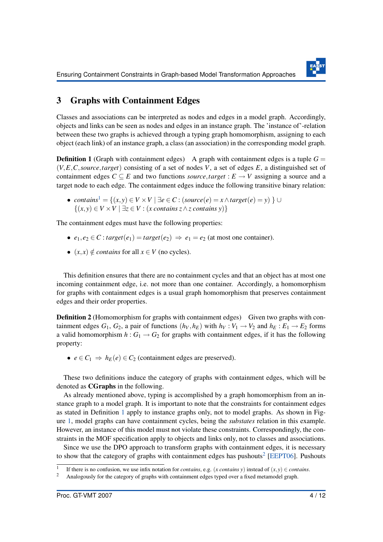

### 3 Graphs with Containment Edges

Classes and associations can be interpreted as nodes and edges in a model graph. Accordingly, objects and links can be seen as nodes and edges in an instance graph. The 'instance of'-relation between these two graphs is achieved through a typing graph homomorphism, assigning to each object (each link) of an instance graph, a class (an association) in the corresponding model graph.

<span id="page-4-1"></span>**Definition 1** (Graph with containment edges) A graph with containment edges is a tuple  $G =$ (*V*,*E*,*C*,*source*,*target*) consisting of a set of nodes *V*, a set of edges *E*, a distinguished set of containment edges  $C \subseteq E$  and two functions *source*, *target* :  $E \rightarrow V$  assigning a source and a target node to each edge. The containment edges induce the following transitive binary relation:

• *contains*[1](#page-4-0) = {(*x*,*y*) ∈ *V* ×*V* | ∃*e* ∈ *C* : (*source*(*e*) = *x*∧*target*(*e*) = *y*) } ∪ {(*x*,*y*) ∈ *V* ×*V* | ∃*z* ∈ *V* : (*x contains z*∧*z contains y*)}

The containment edges must have the following properties:

- $e_1, e_2 \in C$ : *target* $(e_1) = \text{target}(e_2) \implies e_1 = e_2$  (at most one container).
- $(x, x) \notin contains$  for all  $x \in V$  (no cycles).

This definition ensures that there are no containment cycles and that an object has at most one incoming containment edge, i.e. not more than one container. Accordingly, a homomorphism for graphs with containment edges is a usual graph homomorphism that preserves containment edges and their order properties.

**Definition 2** (Homomorphism for graphs with containment edges) Given two graphs with containment edges  $G_1$ ,  $G_2$ , a pair of functions  $(h_V, h_E)$  with  $h_V: V_1 \rightarrow V_2$  and  $h_E: E_1 \rightarrow E_2$  forms a valid homomorphism  $h: G_1 \to G_2$  for graphs with containment edges, if it has the following property:

•  $e \in C_1 \Rightarrow h_E(e) \in C_2$  (containment edges are preserved).

These two definitions induce the category of graphs with containment edges, which will be denoted as CGraphs in the following.

As already mentioned above, typing is accomplished by a graph homomorphism from an instance graph to a model graph. It is important to note that the constraints for containment edges as stated in Definition [1](#page-4-1) apply to instance graphs only, not to model graphs. As shown in Figure [1,](#page-5-0) model graphs can have containment cycles, being the *substates* relation in this example. However, an instance of this model must not violate these constraints. Correspondingly, the constraints in the MOF specification apply to objects and links only, not to classes and associations.

Since we use the DPO approach to transform graphs with containment edges, it is necessary to show that the category of graphs with containment edges has pushouts<sup>[2](#page-4-2)</sup> [\[EEPT06\]](#page-11-1). Pushouts

<span id="page-4-0"></span><sup>1</sup> If there is no confusion, we use infix notation for *contains*, e.g. (*x contains y*) instead of  $(x, y) \in$  *contains*.

<span id="page-4-2"></span><sup>&</sup>lt;sup>2</sup> Analogously for the category of graphs with containment edges typed over a fixed metamodel graph.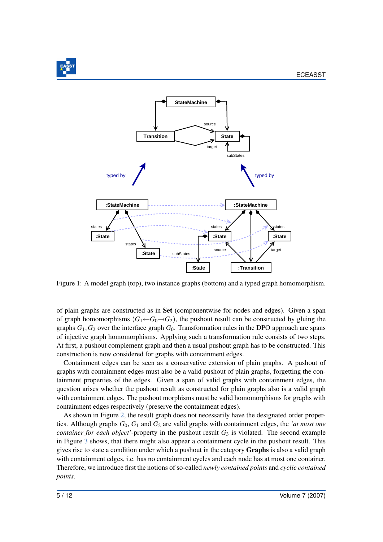

<span id="page-5-0"></span>

Figure 1: A model graph (top), two instance graphs (bottom) and a typed graph homomorphism.

of plain graphs are constructed as in Set (componentwise for nodes and edges). Given a span of graph homomorphisms  $(G_1 \leftarrow G_0 \rightarrow G_2)$ , the pushout result can be constructed by gluing the graphs  $G_1, G_2$  over the interface graph  $G_0$ . Transformation rules in the DPO approach are spans of injective graph homomorphisms. Applying such a transformation rule consists of two steps. At first, a pushout complement graph and then a usual pushout graph has to be constructed. This construction is now considered for graphs with containment edges.

Containment edges can be seen as a conservative extension of plain graphs. A pushout of graphs with containment edges must also be a valid pushout of plain graphs, forgetting the containment properties of the edges. Given a span of valid graphs with containment edges, the question arises whether the pushout result as constructed for plain graphs also is a valid graph with containment edges. The pushout morphisms must be valid homomorphisms for graphs with containment edges respectively (preserve the containment edges).

As shown in Figure [2,](#page-6-0) the result graph does not necessarily have the designated order properties. Although graphs *G*0, *G*<sup>1</sup> and *G*<sup>2</sup> are valid graphs with containment edges, the *'at most one container for each object'*-property in the pushout result  $G_3$  is violated. The second example in Figure [3](#page-6-1) shows, that there might also appear a containment cycle in the pushout result. This gives rise to state a condition under which a pushout in the category Graphs is also a valid graph with containment edges, i.e. has no containment cycles and each node has at most one container. Therefore, we introduce first the notions of so-called *newly contained points* and *cyclic contained points*.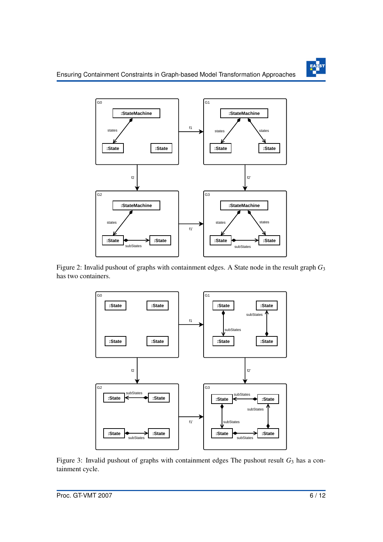

<span id="page-6-0"></span>

<span id="page-6-1"></span>Figure 2: Invalid pushout of graphs with containment edges. A State node in the result graph *G*<sup>3</sup> has two containers.



Figure 3: Invalid pushout of graphs with containment edges The pushout result  $G_3$  has a containment cycle.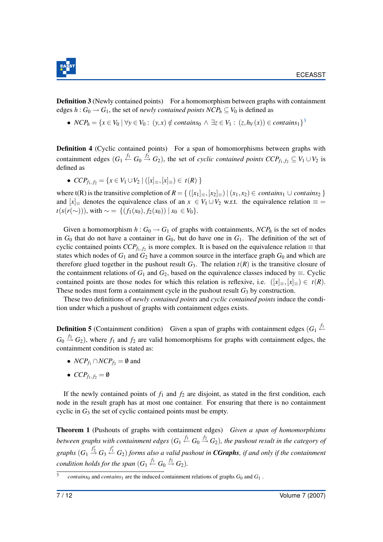

**Definition 3** (Newly contained points) For a homomorphism between graphs with containment edges  $h: G_0 \to G_1$ , the set of *newly contained points NCP<sub>h</sub>*  $\subset V_0$  is defined as

●  $NCP_h = \{x \in V_0 \mid \forall y \in V_0 : (y, x) \notin contains_0 \land \exists z \in V_1 : (z, h_V(x)) \in contains_1\}^3$  $NCP_h = \{x \in V_0 \mid \forall y \in V_0 : (y, x) \notin contains_0 \land \exists z \in V_1 : (z, h_V(x)) \in contains_1\}^3$ 

Definition 4 (Cyclic contained points) For a span of homomorphisms between graphs with containment edges  $(G_1 \stackrel{f_1}{\leftarrow} G_0 \stackrel{f_2}{\rightarrow} G_2)$ , the set of *cyclic contained points CCP*<sub>*f*1, *f*<sub>2</sub>  $\subseteq V_1 \cup V_2$  is</sub> defined as

 $\bullet$  *CCP*<sub>*f*<sub>1</sub>, *f*<sub>2</sub> = {*x* ∈ *V*<sub>1</sub> ∪ *V*<sub>2</sub> | ([*x*]<sub>≡</sub>,[*x*]<sub>≡</sub>) ∈ *t*(*R*) }</sub>

where t(R) is the transitive completion of  $R = \{([x_1]_{\equiv}, [x_2]_{\equiv}) | (x_1, x_2) \in \text{contains}_1 \cup \text{contains}_2 \}$ and  $[x]$  denotes the equivalence class of an  $x \in V_1 \cup V_2$  w.r.t. the equivalence relation  $\equiv$  = *t*(*s*(*r*(∼))), with ∼ = {(*f*<sub>1</sub>(*x*<sub>0</sub>), *f*<sub>2</sub>(*x*<sub>0</sub>)) | *x*<sub>0</sub> ∈ *V*<sub>0</sub>}.

Given a homomorphism  $h: G_0 \to G_1$  of graphs with containments,  $NCP_h$  is the set of nodes in  $G_0$  that do not have a container in  $G_0$ , but do have one in  $G_1$ . The definition of the set of cyclic contained points  $CCP_{f_1,f_2}$  is more complex. It is based on the equivalence relation  $\equiv$  that states which nodes of  $G_1$  and  $G_2$  have a common source in the interface graph  $G_0$  and which are therefore glued together in the pushout result  $G_3$ . The relation  $t(R)$  is the transitive closure of the containment relations of  $G_1$  and  $G_2$ , based on the equivalence classes induced by  $\equiv$ . Cyclic contained points are those nodes for which this relation is reflexive, i.e.  $([x]_{\equiv}, [x]_{\equiv}) \in t(R)$ . These nodes must form a containment cycle in the pushout result  $G_3$  by construction.

These two definitions of *newly contained points* and *cyclic contained points* induce the condition under which a pushout of graphs with containment edges exists.

**Definition 5** (Containment condition) Given a span of graphs with containment edges  $(G_1 \stackrel{f_1}{\leftarrow} G_2)$  $G_0 \stackrel{f_2}{\rightarrow} G_2$ ), where  $f_1$  and  $f_2$  are valid homomorphisms for graphs with containment edges, the containment condition is stated as:

- $NCP_{f_1} \cap NCP_{f_2} = \emptyset$  and
- $CCP_{f_1, f_2} = \emptyset$

If the newly contained points of  $f_1$  and  $f_2$  are disjoint, as stated in the first condition, each node in the result graph has at most one container. For ensuring that there is no containment cyclic in *G*<sup>3</sup> the set of cyclic contained points must be empty.

Theorem 1 (Pushouts of graphs with containment edges) *Given a span of homomorphisms between graphs with containment edges*  $(G_1 \stackrel{f_1}{\leftarrow} G_0 \stackrel{f_2}{\rightarrow} G_2)$ , the pushout result in the category of graphs  $(G_1 \stackrel{f_2'}{\rightarrow} G_3 \stackrel{f_1'}{\leftarrow} G_2)$  forms also a valid pushout in **CGraphs**, if and only if the containment condition holds for the span  $(G_1 \stackrel{f_1}{\leftarrow} G_0 \stackrel{f_2}{\rightarrow} G_2)$ .

<span id="page-7-0"></span><sup>3</sup> *contains*<sup>0</sup> and *contains*<sup>1</sup> are the induced containment relations of graphs  $G_0$  and  $G_1$ .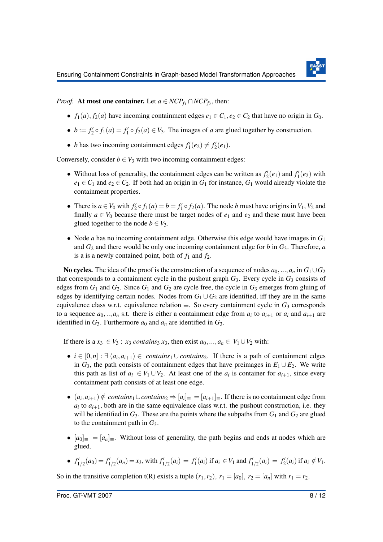

*Proof.* At most one container. Let  $a \in NCP_{f_1} \cap NCP_{f_2}$ , then:

- *f*<sub>1</sub>(*a*), *f*<sub>2</sub>(*a*) have incoming containment edges  $e_1 \in C_1$ ,  $e_2 \in C_2$  that have no origin in  $G_0$ .
- $b := f'_1 \circ f_1(a) = f'_1 \circ f_2(a) \in V_3$ . The images of *a* are glued together by construction.
- *b* has two incoming containment edges  $f'_1(e_2) \neq f'_2(e_1)$ .

Conversely, consider  $b \in V_3$  with two incoming containment edges:

- Without loss of generality, the containment edges can be written as  $f'_{2}(e_1)$  and  $f'_{1}(e_2)$  with  $e_1 \in C_1$  and  $e_2 \in C_2$ . If both had an origin in  $G_1$  for instance,  $G_1$  would already violate the containment properties.
- There is  $a \in V_0$  with  $f'_2 \circ f_1(a) = b = f'_1 \circ f_2(a)$ . The node *b* must have origins in  $V_1$ ,  $V_2$  and finally  $a \in V_0$  because there must be target nodes of  $e_1$  and  $e_2$  and these must have been glued together to the node  $b \in V_3$ .
- Node *a* has no incoming containment edge. Otherwise this edge would have images in *G*<sup>1</sup> and *G*<sup>2</sup> and there would be only one incoming containment edge for *b* in *G*3. Therefore, *a* is a is a newly contained point, both of  $f_1$  and  $f_2$ .

No cycles. The idea of the proof is the construction of a sequence of nodes  $a_0, ..., a_n$  in  $G_1 \cup G_2$ that corresponds to a containment cycle in the pushout graph  $G_3$ . Every cycle in  $G_3$  consists of edges from  $G_1$  and  $G_2$ . Since  $G_1$  and  $G_2$  are cycle free, the cycle in  $G_3$  emerges from gluing of edges by identifying certain nodes. Nodes from  $G_1 \cup G_2$  are identified, iff they are in the same equivalence class w.r.t. equivalence relation  $\equiv$ . So every containment cycle in  $G_3$  corresponds to a sequence  $a_0, \ldots, a_n$  s.t. there is either a containment edge from  $a_i$  to  $a_{i+1}$  or  $a_i$  and  $a_{i+1}$  are identified in  $G_3$ . Furthermore  $a_0$  and  $a_n$  are identified in  $G_3$ .

If there is a  $x_3 \in V_3$ :  $x_3$  *contains*<sub>3</sub>  $x_3$ , then exist  $a_0, ..., a_n \in V_1 \cup V_2$  with:

- $i \in [0,n] : \exists (a_i,a_{i+1}) \in contains_1 \cup contains_2$ . If there is a path of containment edges in  $G_3$ , the path consists of containment edges that have preimages in  $E_1 \cup E_2$ . We write this path as list of  $a_i \in V_1 \cup V_2$ . At least one of the  $a_i$  is container for  $a_{i+1}$ , since every containment path consists of at least one edge.
- $(a_i, a_{i+1}) \notin contains_1 \cup contains_2 \Rightarrow [a_i]_ \equiv = [a_{i+1}]_ \equiv$ . If there is no containment edge from  $a_i$  to  $a_{i+1}$ , both are in the same equivalence class w.r.t. the pushout construction, i.e. they will be identified in  $G_3$ . These are the points where the subpaths from  $G_1$  and  $G_2$  are glued to the containment path in *G*3.
- $[a_0]_\equiv = [a_n]_\equiv$ . Without loss of generality, the path begins and ends at nodes which are glued.

• 
$$
f'_{1/2}(a_0) = f'_{1/2}(a_n) = x_3
$$
, with  $f'_{1/2}(a_i) = f'_1(a_i)$  if  $a_i \in V_1$  and  $f'_{1/2}(a_i) = f'_2(a_i)$  if  $a_i \notin V_1$ .

So in the transitive completion  $t(R)$  exists a tuple  $(r_1, r_2)$ ,  $r_1 = [a_0]$ ,  $r_2 = [a_n]$  with  $r_1 = r_2$ .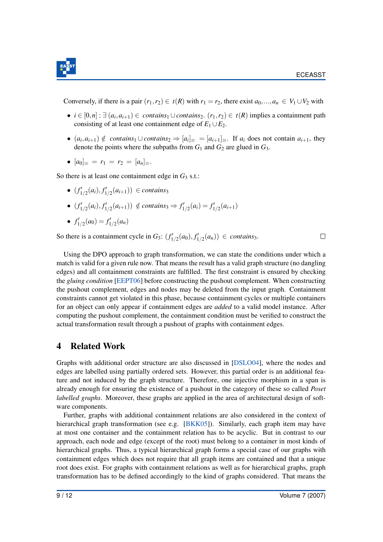

Conversely, if there is a pair  $(r_1, r_2) \in t(R)$  with  $r_1 = r_2$ , there exist  $a_0, ..., a_n \in V_1 \cup V_2$  with

- $\bullet$  *i* ∈ [0,*n*] :  $\exists$  (*a<sub>i</sub>*, *a<sub>i+1</sub>*) ∈ *contains*<sub>1</sub> ∪ *contains*<sub>2</sub>. (*r*<sub>1</sub>, *r*<sub>2</sub>) ∈ *t*(*R*) implies a containment path consisting of at least one containment edge of  $E_1 \cup E_2$ .
- $(a_i, a_{i+1}) \notin$  *contains*<sub>1</sub> ∪ *contains*<sub>2</sub>  $\Rightarrow$   $[a_i]_$  $\equiv$   $=[a_{i+1}]_$  $\equiv$ . If  $a_i$  does not contain  $a_{i+1}$ , they denote the points where the subpaths from  $G_1$  and  $G_2$  are glued in  $G_3$ .
- $[a_0]_\equiv = r_1 = r_2 = [a_n]_\equiv.$

So there is at least one containment edge in  $G_3$  s.t.:

- $(f'_{1/2}(a_i), f'_{1/2}(a_{i+1}))$  ∈ *contains*<sub>3</sub>
- $(f'_{1/2}(a_i), f'_{1/2}(a_{i+1})) \notin contains_3 \Rightarrow f'_{1/2}(a_i) = f'_{1/2}(a_{i+1})$

• 
$$
f'_{1/2}(a_0) = f'_{1/2}(a_n)
$$

So there is a containment cycle in  $G_3$ :  $(f'_{1/2}(a_0), f'_{1/2}(a_n)) \in \text{contains}_3$ .

 $\Box$ 

Using the DPO approach to graph transformation, we can state the conditions under which a match is valid for a given rule now. That means the result has a valid graph structure (no dangling edges) and all containment constraints are fulfilled. The first constraint is ensured by checking the *gluing condition* [\[EEPT06\]](#page-11-1) before constructing the pushout complement. When constructing the pushout complement, edges and nodes may be deleted from the input graph. Containment constraints cannot get violated in this phase, because containment cycles or multiple containers for an object can only appear if containment edges are *added* to a valid model instance. After computing the pushout complement, the containment condition must be verified to construct the actual transformation result through a pushout of graphs with containment edges.

#### 4 Related Work

Graphs with additional order structure are also discussed in [\[DSLO04\]](#page-11-3), where the nodes and edges are labelled using partially ordered sets. However, this partial order is an additional feature and not induced by the graph structure. Therefore, one injective morphism in a span is already enough for ensuring the existence of a pushout in the category of these so called *Poset labelled graphs*. Moreover, these graphs are applied in the area of architectural design of software components.

Further, graphs with additional containment relations are also considered in the context of hierarchical graph transformation (see e.g. [\[BKK05\]](#page-10-0)). Similarly, each graph item may have at most one container and the containment relation has to be acyclic. But in contrast to our approach, each node and edge (except of the root) must belong to a container in most kinds of hierarchical graphs. Thus, a typical hierarchical graph forms a special case of our graphs with containment edges which does not require that all graph items are contained and that a unique root does exist. For graphs with containment relations as well as for hierarchical graphs, graph transformation has to be defined accordingly to the kind of graphs considered. That means the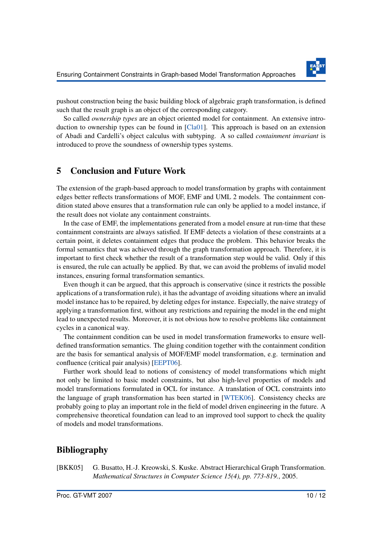

pushout construction being the basic building block of algebraic graph transformation, is defined such that the result graph is an object of the corresponding category.

So called *ownership types* are an object oriented model for containment. An extensive introduction to ownership types can be found in [\[Cla01\]](#page-11-4). This approach is based on an extension of Abadi and Cardelli's object calculus with subtyping. A so called *containment invariant* is introduced to prove the soundness of ownership types systems.

#### 5 Conclusion and Future Work

The extension of the graph-based approach to model transformation by graphs with containment edges better reflects transformations of MOF, EMF and UML 2 models. The containment condition stated above ensures that a transformation rule can only be applied to a model instance, if the result does not violate any containment constraints.

In the case of EMF, the implementations generated from a model ensure at run-time that these containment constraints are always satisfied. If EMF detects a violation of these constraints at a certain point, it deletes containment edges that produce the problem. This behavior breaks the formal semantics that was achieved through the graph transformation approach. Therefore, it is important to first check whether the result of a transformation step would be valid. Only if this is ensured, the rule can actually be applied. By that, we can avoid the problems of invalid model instances, ensuring formal transformation semantics.

Even though it can be argued, that this approach is conservative (since it restricts the possible applications of a transformation rule), it has the advantage of avoiding situations where an invalid model instance has to be repaired, by deleting edges for instance. Especially, the naive strategy of applying a transformation first, without any restrictions and repairing the model in the end might lead to unexpected results. Moreover, it is not obvious how to resolve problems like containment cycles in a canonical way.

The containment condition can be used in model transformation frameworks to ensure welldefined transformation semantics. The gluing condition together with the containment condition are the basis for semantical analysis of MOF/EMF model transformation, e.g. termination and confluence (critical pair analysis) [\[EEPT06\]](#page-11-1).

Further work should lead to notions of consistency of model transformations which might not only be limited to basic model constraints, but also high-level properties of models and model transformations formulated in OCL for instance. A translation of OCL constraints into the language of graph transformation has been started in [\[WTEK06\]](#page-12-2). Consistency checks are probably going to play an important role in the field of model driven engineering in the future. A comprehensive theoretical foundation can lead to an improved tool support to check the quality of models and model transformations.

#### Bibliography

<span id="page-10-0"></span>[BKK05] G. Busatto, H.-J. Kreowski, S. Kuske. Abstract Hierarchical Graph Transformation. *Mathematical Structures in Computer Science 15(4), pp. 773-819.*, 2005.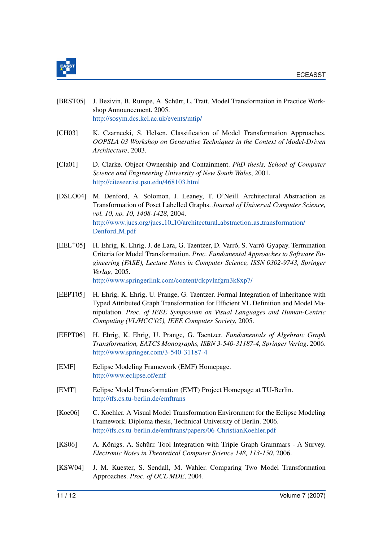

- [BRST05] J. Bezivin, B. Rumpe, A. Schürr, L. Tratt. Model Transformation in Practice Workshop Announcement. 2005. <http://sosym.dcs.kcl.ac.uk/events/mtip/>
- [CH03] K. Czarnecki, S. Helsen. Classification of Model Transformation Approaches. *OOPSLA 03 Workshop on Generative Techniques in the Context of Model-Driven Architecture*, 2003.
- <span id="page-11-4"></span>[Cla01] D. Clarke. Object Ownership and Containment. *PhD thesis, School of Computer Science and Engineering University of New South Wales*, 2001. <http://citeseer.ist.psu.edu/468103.html>
- <span id="page-11-3"></span>[DSLO04] M. Denford, A. Solomon, J. Leaney, T. O'Neill. Architectural Abstraction as Transformation of Poset Labelled Graphs. *Journal of Universal Computer Science, vol. 10, no. 10, 1408-1428*, 2004. [http://www.jucs.org/jucs](http://www.jucs.org/jucs_10_10/architectural_abstraction_as_transformation/Denford_M.pdf)\_10\_10/architectural\_abstraction\_as\_transformation/ [Denford](http://www.jucs.org/jucs_10_10/architectural_abstraction_as_transformation/Denford_M.pdf)\_M.pdf
- $[PEL<sup>+</sup>05]$  H. Ehrig, K. Ehrig, J. de Lara, G. Taentzer, D. Varró, S. Varró-Gyapay. Termination Criteria for Model Transformation. *Proc. Fundamental Approaches to Software Engineering (FASE), Lecture Notes in Computer Science, ISSN 0302-9743, Springer Verlag*, 2005. <http://www.springerlink.com/content/dkpvlnfgrn3k8xp7/>
- <span id="page-11-2"></span>[EEPT05] H. Ehrig, K. Ehrig, U. Prange, G. Taentzer. Formal Integration of Inheritance with Typed Attributed Graph Transformation for Efficient VL Definition and Model Manipulation. *Proc. of IEEE Symposium on Visual Languages and Human-Centric Computing (VL/HCC'05), IEEE Computer Society*, 2005.
- <span id="page-11-1"></span>[EEPT06] H. Ehrig, K. Ehrig, U. Prange, G. Taentzer. *Fundamentals of Algebraic Graph Transformation, EATCS Monographs, ISBN 3-540-31187-4, Springer Verlag*. 2006. <http://www.springer.com/3-540-31187-4>
- <span id="page-11-0"></span>[EMF] Eclipse Modeling Framework (EMF) Homepage. <http://www.eclipse.of/emf>
- [EMT] Eclipse Model Transformation (EMT) Project Homepage at TU-Berlin. <http://tfs.cs.tu-berlin.de/emftrans>
- [Koe06] C. Koehler. A Visual Model Transformation Environment for the Eclipse Modeling Framework. Diploma thesis, Technical University of Berlin. 2006. <http://tfs.cs.tu-berlin.de/emftrans/papers/06-ChristianKoehler.pdf>
- [KS06] A. Königs, A. Schürr. Tool Integration with Triple Graph Grammars A Survey. *Electronic Notes in Theoretical Computer Science 148, 113-150*, 2006.
- [KSW04] J. M. Kuester, S. Sendall, M. Wahler. Comparing Two Model Transformation Approaches. *Proc. of OCL MDE*, 2004.